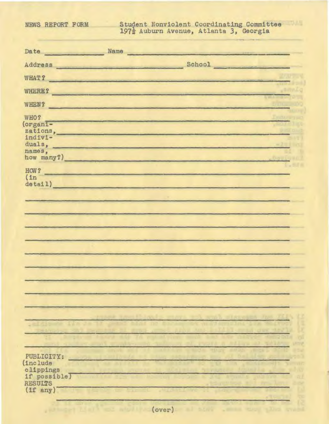## NEWS REPORT FORM Student Nonviolent Coordinating Committee 197<sup>}</sup> Auburn Avenue, Atlanta 3, Georgia

| Date Name                  |                                                                                                                                                                                                                                | <u> De Santo de Carriero de Santo de Santo de Santo de Santo de Santo de Santo de Santo de Santo de Santo de San</u> |  |
|----------------------------|--------------------------------------------------------------------------------------------------------------------------------------------------------------------------------------------------------------------------------|----------------------------------------------------------------------------------------------------------------------|--|
|                            | Address School School and School School and School and School and School and School and School and School and School and School and School and School and School and School and School and School and School and School and Sc |                                                                                                                      |  |
|                            | WHAT?                                                                                                                                                                                                                          |                                                                                                                      |  |
|                            | WHERE?                                                                                                                                                                                                                         |                                                                                                                      |  |
|                            | WHEN?                                                                                                                                                                                                                          |                                                                                                                      |  |
| WHO?                       | and the state of the state of the state of the state of the state of the state of the state of the state of the                                                                                                                |                                                                                                                      |  |
| (organi-                   | zations,                                                                                                                                                                                                                       |                                                                                                                      |  |
| indivi-                    | duals, the contract of the contract of the contract of the contract of the contract of the contract of the contract of the contract of the contract of the contract of the contract of the contract of the contract of the con |                                                                                                                      |  |
| names,                     | how many?)                                                                                                                                                                                                                     |                                                                                                                      |  |
| HOW?                       | <u> 1989 - Jan Stein Stein, fransk politiker og den forskellige og det ble til store og som som og som som som s</u>                                                                                                           |                                                                                                                      |  |
| (1n)<br>detail)            | <u> Andrew Maria (1989), provincia e a provincia e a un altre de la provincia e a un altre de la provincia e a un</u>                                                                                                          |                                                                                                                      |  |
|                            |                                                                                                                                                                                                                                |                                                                                                                      |  |
|                            |                                                                                                                                                                                                                                |                                                                                                                      |  |
|                            |                                                                                                                                                                                                                                |                                                                                                                      |  |
|                            |                                                                                                                                                                                                                                |                                                                                                                      |  |
|                            |                                                                                                                                                                                                                                |                                                                                                                      |  |
|                            |                                                                                                                                                                                                                                |                                                                                                                      |  |
|                            |                                                                                                                                                                                                                                |                                                                                                                      |  |
|                            |                                                                                                                                                                                                                                |                                                                                                                      |  |
|                            |                                                                                                                                                                                                                                |                                                                                                                      |  |
|                            |                                                                                                                                                                                                                                |                                                                                                                      |  |
|                            |                                                                                                                                                                                                                                |                                                                                                                      |  |
|                            |                                                                                                                                                                                                                                |                                                                                                                      |  |
| PUBLICITY:                 |                                                                                                                                                                                                                                |                                                                                                                      |  |
| (include                   |                                                                                                                                                                                                                                |                                                                                                                      |  |
| clippings<br>if possible)  |                                                                                                                                                                                                                                |                                                                                                                      |  |
| <b>RESULTS</b><br>(if any) |                                                                                                                                                                                                                                |                                                                                                                      |  |
|                            |                                                                                                                                                                                                                                |                                                                                                                      |  |